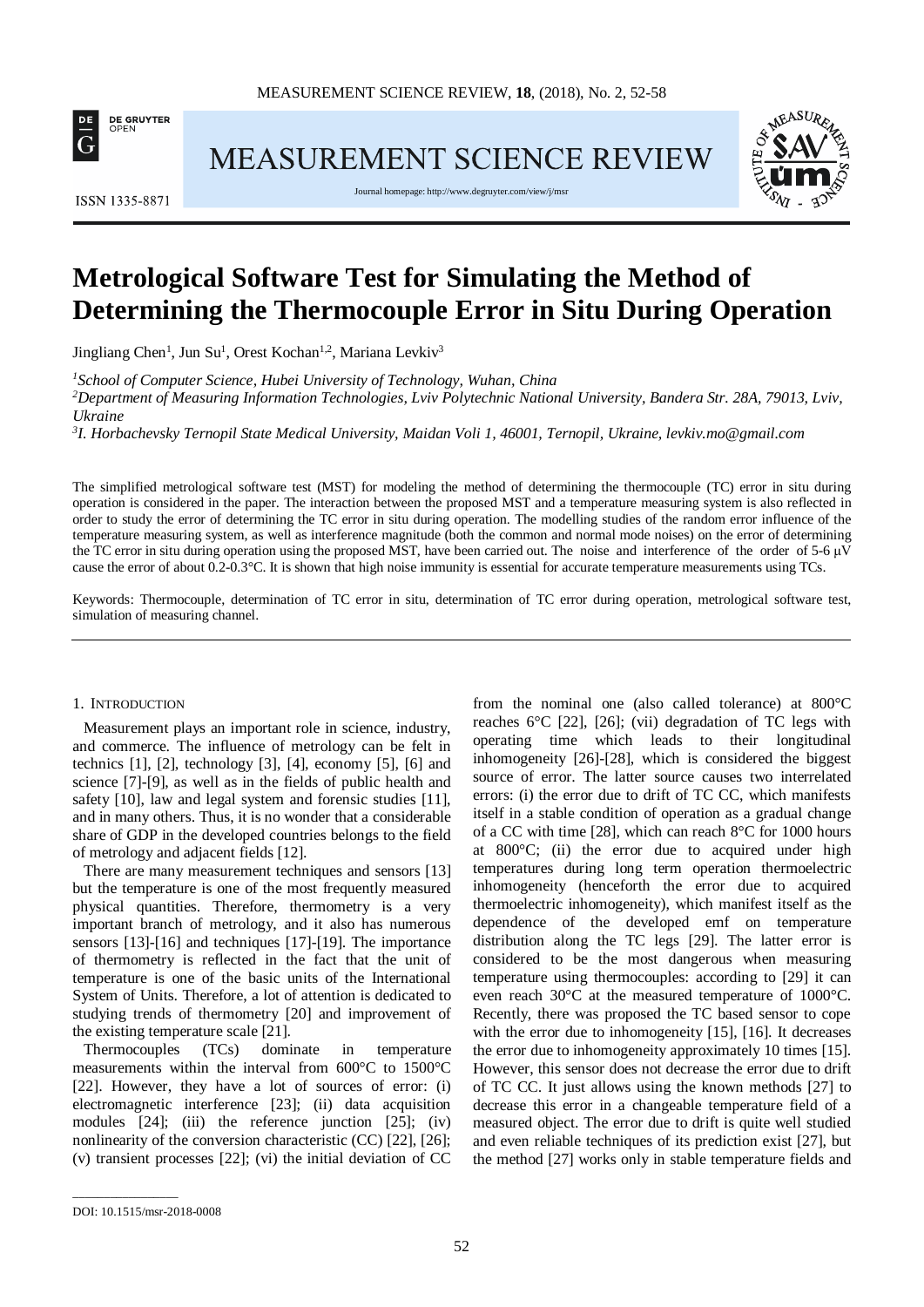

MEASUREMENT SCIENCE REVIEW



ISSN 1335-8871

Journal homepage[: http://www.degruyter.com/view/j/msr](http://www.degruyter.com/view/j/msr)

# **Metrological Software Test for Simulating the Method of Determining the Thermocouple Error in Situ During Operation**

Jingliang Chen<sup>1</sup>, Jun Su<sup>1</sup>, Orest Kochan<sup>1,2</sup>, Mariana Levkiv<sup>3</sup>

*1 School of Computer Science, Hubei University of Technology, Wuhan, China*

*2 Department of Measuring Information Technologies, Lviv Polytechnic National University, Bandera Str. 28A, 79013, Lviv, Ukraine*

*3 I. Horbachevsky Ternopil State Medical University, Maidan Voli 1, 46001, Ternopil, Ukraine, levkiv.mo@gmail.com*

The simplified metrological software test (MST) for modeling the method of determining the thermocouple (TC) error in situ during operation is considered in the paper. The interaction between the proposed MST and a temperature measuring system is also reflected in order to study the error of determining the TC error in situ during operation. The modelling studies of the random error influence of the temperature measuring system, as well as interference magnitude (both the common and normal mode noises) on the error of determining the TC error in situ during operation using the proposed MST, have been carried out. The noise and interference of the order of 5-6 μV cause the error of about 0.2-0.3°C. It is shown that high noise immunity is essential for accurate temperature measurements using TCs.

Keywords: Thermocouple, determination of TC error in situ, determination of TC error during operation, metrological software test, simulation of measuring channel.

### 1. INTRODUCTION

Measurement plays an important role in science, industry, and commerce. The influence of metrology can be felt in technics  $[1]$ ,  $[2]$ , technology  $[3]$ ,  $[4]$ , economy  $[5]$ ,  $[6]$  and science [7]-[9], as well as in the fields of public health and safety [10], law and legal system and forensic studies [11], and in many others. Thus, it is no wonder that a considerable share of GDP in the developed countries belongs to the field of metrology and adjacent fields [12].

There are many measurement techniques and sensors [13] but the temperature is one of the most frequently measured physical quantities. Therefore, thermometry is a very important branch of metrology, and it also has numerous sensors [13]-[16] and techniques [17]-[19]. The importance of thermometry is reflected in the fact that the unit of temperature is one of the basic units of the International System of Units. Therefore, a lot of attention is dedicated to studying trends of thermometry [20] and improvement of the existing temperature scale [21].

Thermocouples (TCs) dominate in temperature measurements within the interval from 600°C to 1500°C [22]. However, they have a lot of sources of error: (i) electromagnetic interference [23]; (ii) data acquisition modules [24]; (iii) the reference junction [25]; (iv) nonlinearity of the conversion characteristic (CC) [22], [26]; (v) transient processes [22]; (vi) the initial deviation of CC from the nominal one (also called tolerance) at 800°C reaches 6°C [22], [26]; (vii) degradation of TC legs with operating time which leads to their longitudinal inhomogeneity [26]-[28], which is considered the biggest source of error. The latter source causes two interrelated errors: (i) the error due to drift of TC CC, which manifests itself in a stable condition of operation as a gradual change of a CC with time [28], which can reach 8°C for 1000 hours at 800°C; (ii) the error due to acquired under high temperatures during long term operation thermoelectric inhomogeneity (henceforth the error due to acquired thermoelectric inhomogeneity), which manifest itself as the dependence of the developed emf on temperature distribution along the TC legs [29]. The latter error is considered to be the most dangerous when measuring temperature using thermocouples: according to [29] it can even reach 30°C at the measured temperature of 1000°C. Recently, there was proposed the TC based sensor to cope with the error due to inhomogeneity [15]. [16]. It decreases the error due to inhomogeneity approximately 10 times [15]. However, this sensor does not decrease the error due to drift of TC CC. It just allows using the known methods [27] to decrease this error in a changeable temperature field of a measured object. The error due to drift is quite well studied and even reliable techniques of its prediction exist [27], but the method [27] works only in stable temperature fields and

\_\_\_\_\_\_\_\_\_\_\_\_\_\_\_\_\_

DOI: 10.1515/msr-2018-0008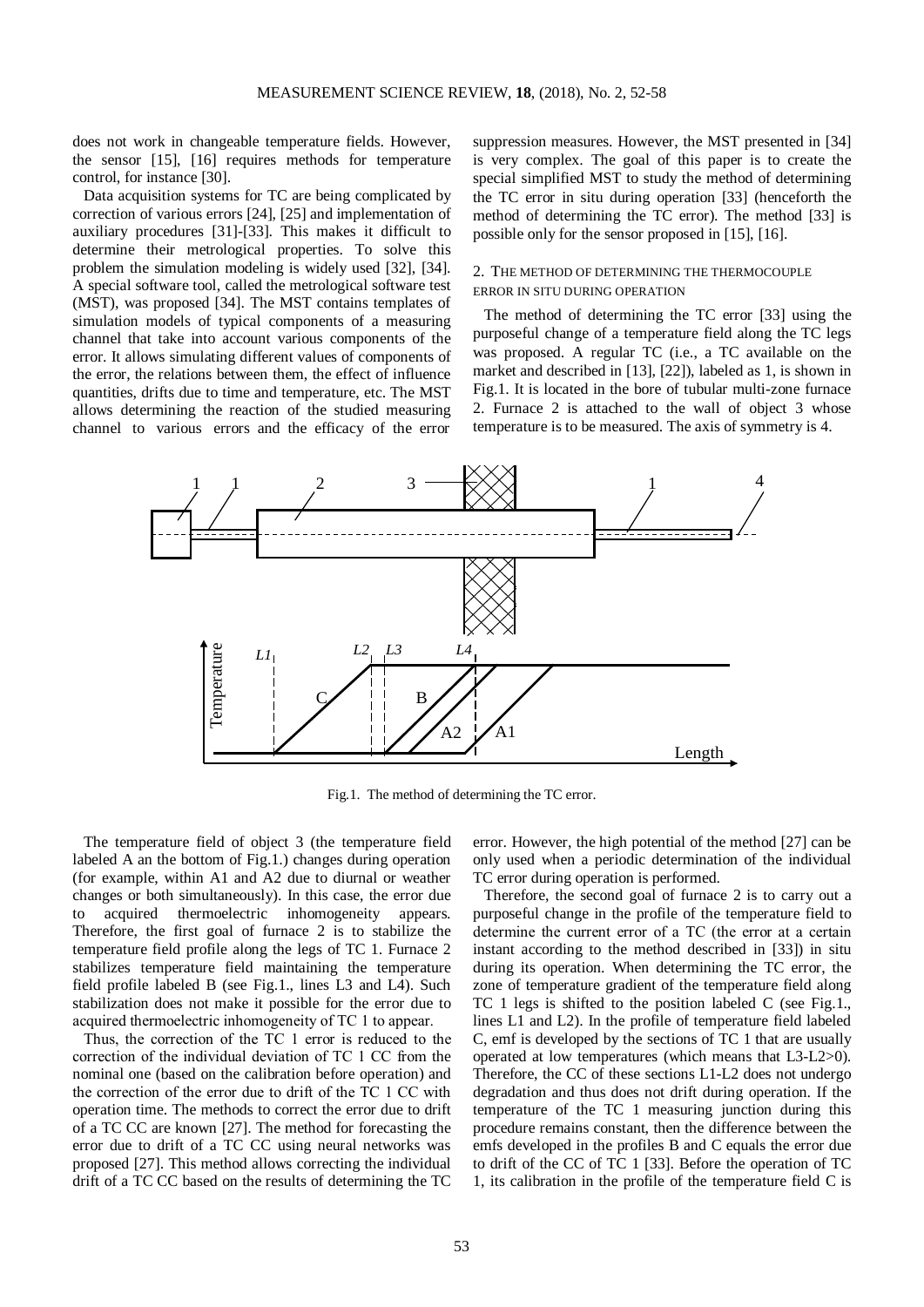does not work in changeable temperature fields. However, the sensor [15], [16] requires methods for temperature control, for instance [30].

Data acquisition systems for TC are being complicated by correction of various errors [24], [25] and implementation of auxiliary procedures [31]-[33]. This makes it difficult to determine their metrological properties. To solve this problem the simulation modeling is widely used [32], [34]. A special software tool, called the metrological software test (MST), was proposed [34]. The MST contains templates of simulation models of typical components of a measuring channel that take into account various components of the error. It allows simulating different values of components of the error, the relations between them, the effect of influence quantities, drifts due to time and temperature, etc. The MST allows determining the reaction of the studied measuring channel to various errors and the efficacy of the error suppression measures. However, the MST presented in [34] is very complex. The goal of this paper is to create the special simplified MST to study the method of determining the TC error in situ during operation [33] (henceforth the method of determining the TC error). The method [33] is possible only for the sensor proposed in [15], [16].

# 2. THE METHOD OF DETERMINING THE THERMOCOUPLE ERROR IN SITU DURING OPERATION

The method of determining the TC error [33] using the purposeful change of a temperature field along the TC legs was proposed. A regular TC (i.e., a TC available on the market and described in [13], [22]), labeled as 1, is shown in Fig.1. It is located in the bore of tubular multi-zone furnace 2. Furnace 2 is attached to the wall of object 3 whose temperature is to be measured. The axis of symmetry is 4.



Fig.1. The method of determining the TC error.

The temperature field of object 3 (the temperature field labeled A an the bottom of Fig.1.) changes during operation (for example, within A1 and A2 due to diurnal or weather changes or both simultaneously). In this case, the error due to acquired thermoelectric inhomogeneity appears. Therefore, the first goal of furnace 2 is to stabilize the temperature field profile along the legs of TC 1. Furnace 2 stabilizes temperature field maintaining the temperature field profile labeled B (see Fig.1., lines L3 and L4). Such stabilization does not make it possible for the error due to acquired thermoelectric inhomogeneity of TС 1 to appear.

Thus, the correction of the TС 1 error is reduced to the correction of the individual deviation of TС 1 CC from the nominal one (based on the calibration before operation) and the correction of the error due to drift of the TС 1 CC with operation time. The methods to correct the error due to drift of a TC CC are known [27]. The method for forecasting the error due to drift of a TC CC using neural networks was proposed [27]. This method allows correcting the individual drift of a TC CC based on the results of determining the TC error. However, the high potential of the method [27] can be only used when a periodic determination of the individual TC error during operation is performed.

Therefore, the second goal of furnace 2 is to carry out a purposeful change in the profile of the temperature field to determine the current error of a TС (the error at a certain instant according to the method described in [33]) in situ during its operation. When determining the TC error, the zone of temperature gradient of the temperature field along TC 1 legs is shifted to the position labeled C (see Fig.1., lines L1 and L2). In the profile of temperature field labeled C, emf is developed by the sections of TC 1 that are usually operated at low temperatures (which means that L3-L2>0). Therefore, the CC of these sections L1-L2 does not undergo degradation and thus does not drift during operation. If the temperature of the TC 1 measuring junction during this procedure remains constant, then the difference between the emfs developed in the profiles B and C equals the error due to drift of the CC of TC 1 [33]. Before the operation of TC 1, its calibration in the profile of the temperature field C is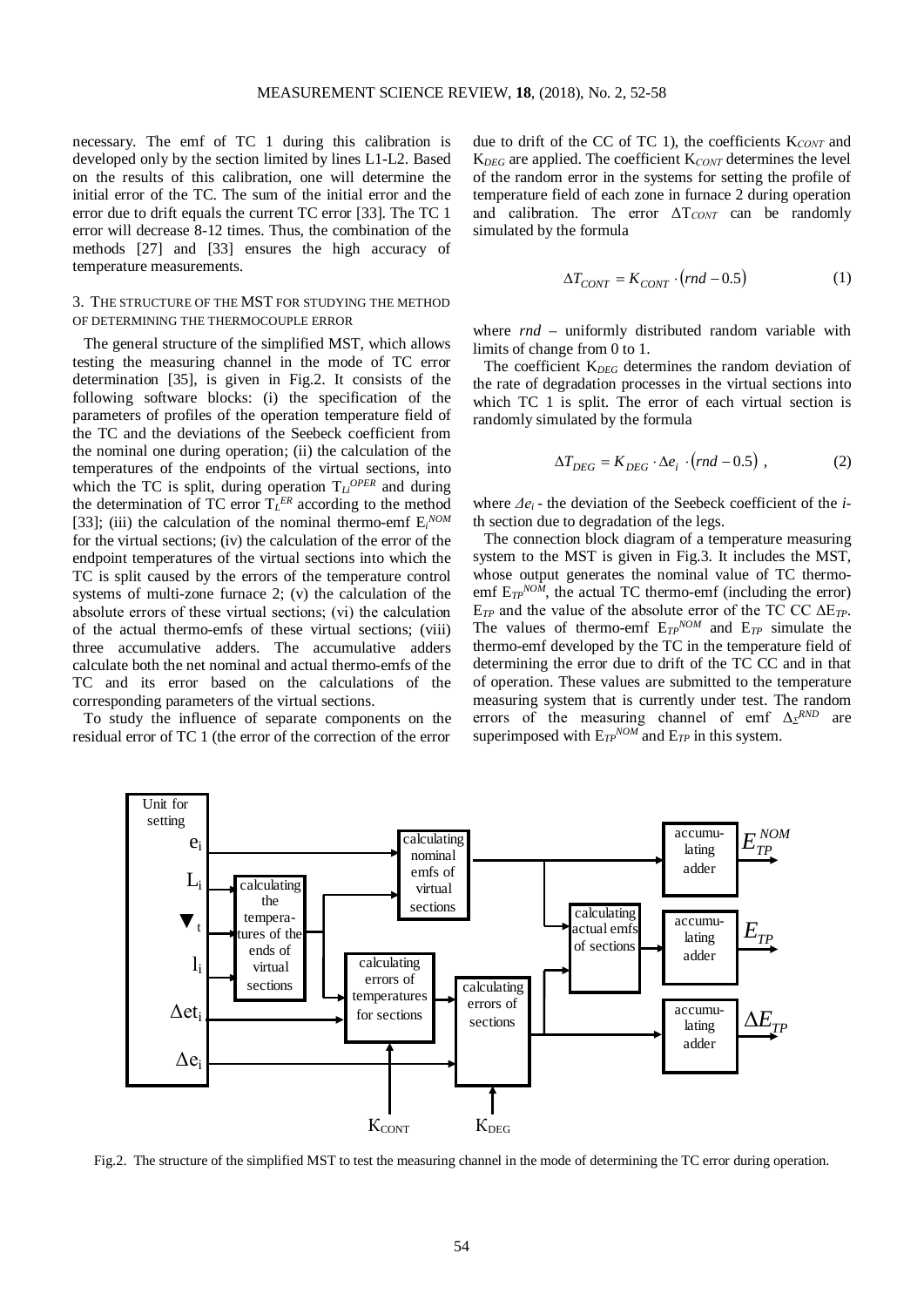necessary. The emf of TC 1 during this calibration is developed only by the section limited by lines L1-L2. Based on the results of this calibration, one will determine the initial error of the TC. The sum of the initial error and the error due to drift equals the current TC error [33]. The TC 1 error will decrease 8-12 times. Thus, the combination of the methods [27] and [33] ensures the high accuracy of temperature measurements.

# 3. THE STRUCTURE OF THE MST FOR STUDYING THE METHOD OF DETERMINING THE THERMOCOUPLE ERROR

The general structure of the simplified MST, which allows testing the measuring channel in the mode of TC error determination [35], is given in Fig.2. It consists of the following software blocks: (i) the specification of the parameters of profiles of the operation temperature field of the TC and the deviations of the Seebeck coefficient from the nominal one during operation; (ii) the calculation of the temperatures of the endpoints of the virtual sections, into which the TC is split, during operation  $T_{Li}^{OPER}$  and during the determination of TC error  $T_L^{ER}$  according to the method [33]; (iii) the calculation of the nominal thermo-emf E*<sup>i</sup> NOM* for the virtual sections; (iv) the calculation of the error of the endpoint temperatures of the virtual sections into which the TC is split caused by the errors of the temperature control systems of multi-zone furnace 2; (v) the calculation of the absolute errors of these virtual sections; (vі) the calculation of the actual thermo-emfs of these virtual sections; (viii) three accumulative adders. The accumulative adders calculate both the net nominal and actual thermo-emfs of the TC and its error based on the calculations of the corresponding parameters of the virtual sections.

To study the influence of separate components on the residual error of TC 1 (the error of the correction of the error due to drift of the CC of TC 1), the coefficients K*СONT* and K*DEG* are applied. The coefficient K*СONT* determines the level of the random error in the systems for setting the profile of temperature field of each zone in furnace 2 during operation and calibration. The error  $\Delta T_{CONT}$  can be randomly simulated by the formula

$$
\Delta T_{CONT} = K_{CONT} \cdot (rnd - 0.5) \tag{1}
$$

where  $rnd$  – uniformly distributed random variable with limits of change from 0 to 1.

The coefficient K<sub>*DEG*</sub> determines the random deviation of the rate of degradation processes in the virtual sections into which TC 1 is split. The error of each virtual section is randomly simulated by the formula

$$
\Delta T_{DEG} = K_{DEG} \cdot \Delta e_i \cdot (rnd - 0.5) , \qquad (2)
$$

where *Δe<sup>i</sup>* - the deviation of the Seebeck coefficient of the *i*th section due to degradation of the legs.

The connection block diagram of a temperature measuring system to the MST is given in Fig.3. It includes the MST, whose output generates the nominal value of TC thermoemf  $E_{TP}^{NOM}$ , the actual TC thermo-emf (including the error) E*TP* and the value of the absolute error of the TC CC ΔE*TP*. The values of thermo-emf  $E_{TP}^{NOM}$  and  $E_{TP}$  simulate the thermo-emf developed by the TC in the temperature field of determining the error due to drift of the TC CC and in that of operation. These values are submitted to the temperature measuring system that is currently under test. The random errors of the measuring channel of emf  $\Delta z^{RND}$  are superimposed with  $E_{TP}^{NOM}$  and  $E_{TP}$  in this system.



Fig.2. The structure of the simplified MST to test the measuring channel in the mode of determining the TC error during operation.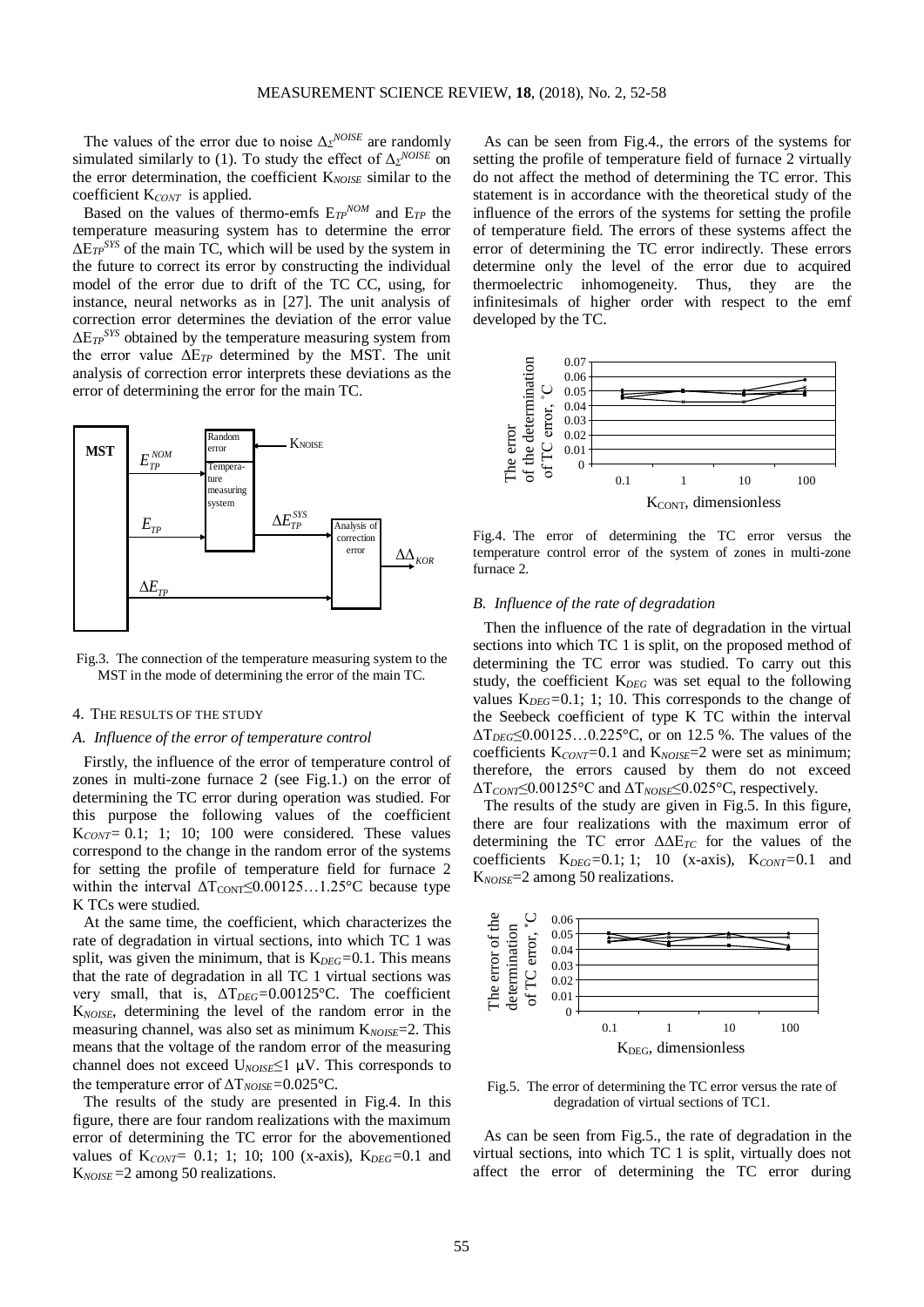The values of the error due to noise  $\Delta z^{NOISE}$  are randomly simulated similarly to (1). To study the effect of  $\Delta z^{NOISE}$  on the error determination, the coefficient K*NOISE* similar to the coefficient K*СONT* is applied.

Based on the values of thermo-emfs  $E_{TP}^{NOM}$  and  $E_{TP}$  the temperature measuring system has to determine the error  $\Delta E_{TP}$ <sup>SYS</sup> of the main TC, which will be used by the system in the future to correct its error by constructing the individual model of the error due to drift of the TC CC, using, for instance, neural networks as in [27]. The unit analysis of correction error determines the deviation of the error value ΔE*TPSYS* obtained by the temperature measuring system from the error value ΔE*TP* determined by the MST. The unit analysis of correction error interprets these deviations as the error of determining the error for the main TC.



Fig.3. The connection of the temperature measuring system to the MST in the mode of determining the error of the main TC.

# 4. THE RESULTS OF THE STUDY

### *A. Influence of the error of temperature control*

Firstly, the influence of the error of temperature control of zones in multi-zone furnace 2 (see Fig.1.) on the error of determining the TC error during operation was studied. For this purpose the following values of the coefficient K<sub>CONT</sub>= 0.1; 1; 10; 100 were considered. These values correspond to the change in the random error of the systems for setting the profile of temperature field for furnace 2 within the interval  $\Delta T_{\text{CONT}} \leq 0.00125...1.25^{\circ} \text{C}$  because type K TCs were studied.

At the same time, the coefficient, which characterizes the rate of degradation in virtual sections, into which TC 1 was split, was given the minimum, that is K*DEG=*0.1. This means that the rate of degradation in all TC 1 virtual sections was very small, that is, ΔT*DEG=*0.00125°C. The coefficient K*NOISE*, determining the level of the random error in the measuring channel, was also set as minimum K<sub>NOISE</sub>=2. This means that the voltage of the random error of the measuring channel does not exceed U*NOISE*≤1 µV. This corresponds to the temperature error of ΔT*NOISE=*0.025°C.

The results of the study are presented in Fig.4. In this figure, there are four random realizations with the maximum error of determining the TC error for the abovementioned values of K<sub>CONT</sub> = 0.1; 1; 10; 100 (x-axis), K<sub>DEG</sub>=0.1 and K*NOISE* =2 among 50 realizations.

As can be seen from Fig.4., the errors of the systems for setting the profile of temperature field of furnace 2 virtually do not affect the method of determining the TC error. This statement is in accordance with the theoretical study of the influence of the errors of the systems for setting the profile of temperature field. The errors of these systems affect the error of determining the TC error indirectly. These errors determine only the level of the error due to acquired thermoelectric inhomogeneity. Thus, they are the infinitesimals of higher order with respect to the emf developed by the TC.



Fig.4. The error of determining the TC error versus the temperature control error of the system of zones in multi-zone furnace 2.

# *B. Influence of the rate of degradation*

Then the influence of the rate of degradation in the virtual sections into which TC 1 is split, on the proposed method of determining the TC error was studied. To carry out this study, the coefficient K*DEG* was set equal to the following values K*DEG=*0.1; 1; 10. This corresponds to the change of the Seebeck coefficient of type K TC within the interval ΔT*DEG*≤0.00125…0.225°C, or on 12.5 %. The values of the coefficients K*СONT=*0.1 and K*NOISE*=2 were set as minimum; therefore, the errors caused by them do not exceed ΔT*CONT*≤0.00125°C and ΔT*NOISE*≤0.025°C, respectively.

The results of the study are given in Fig.5. In this figure, there are four realizations with the maximum error of determining the TC error ΔΔE*TC* for the values of the coefficients K*DEG=*0.1; 1; 10 (x-axis), K*CONT=*0.1 and K*NOISE*=2 among 50 realizations.



Fig.5. The error of determining the TC error versus the rate of degradation of virtual sections of TC1.

As can be seen from Fig.5., the rate of degradation in the virtual sections, into which TC 1 is split, virtually does not affect the error of determining the TC error during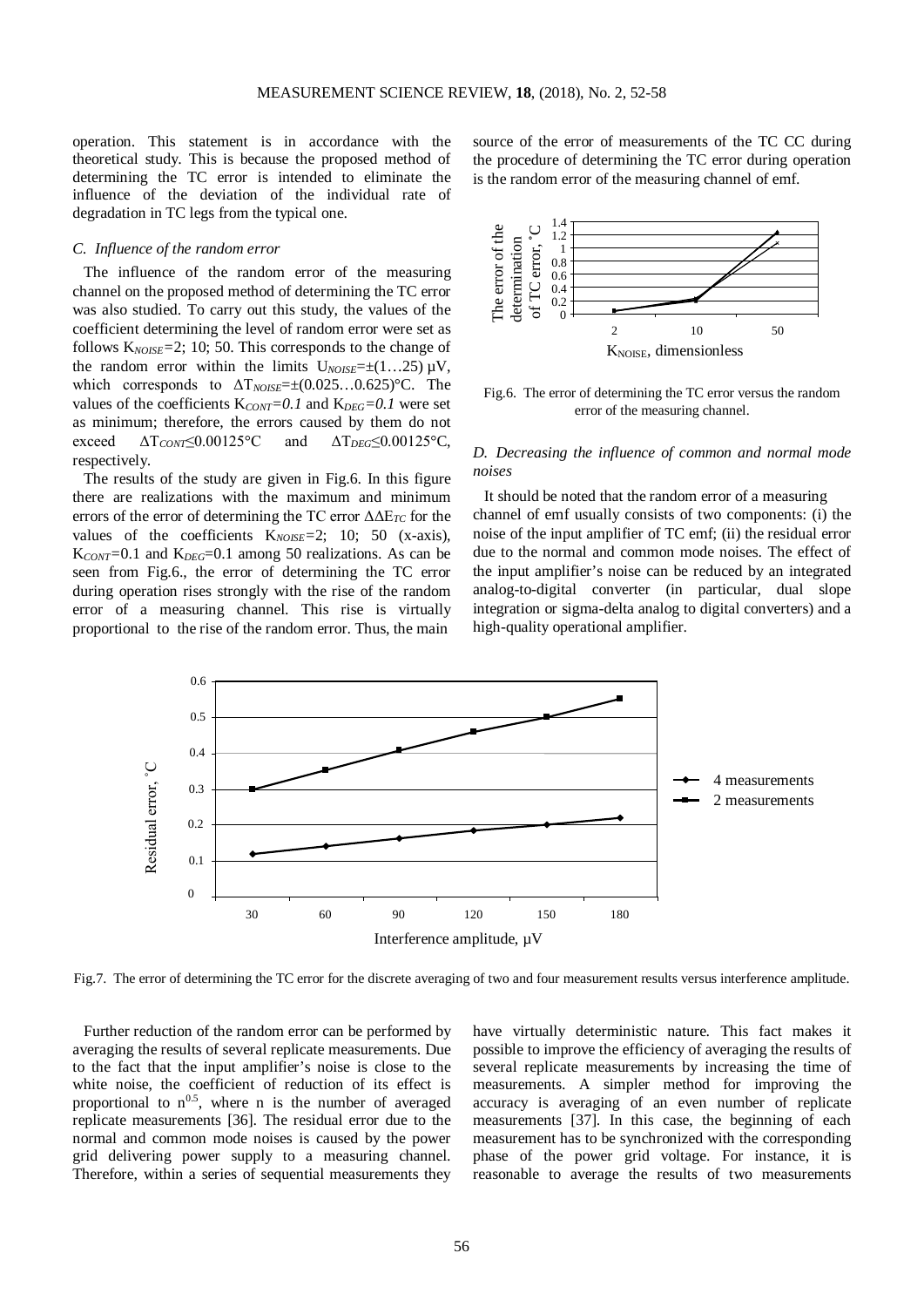operation. This statement is in accordance with the theoretical study. This is because the proposed method of determining the TC error is intended to eliminate the influence of the deviation of the individual rate of degradation in TC legs from the typical one.

#### *C. Influence of the random error*

The influence of the random error of the measuring channel on the proposed method of determining the TC error was also studied. To carry out this study, the values of the coefficient determining the level of random error were set as follows K*NOISE=*2; 10; 50. This corresponds to the change of the random error within the limits  $U_{NOISE} = \pm (1...25) \mu V$ , which corresponds to  $ΔT<sub>NOISE</sub>=±(0.025...0.625)°C$ . The values of the coefficients  $K_{CONT} = 0.1$  and  $K_{DEG} = 0.1$  were set as minimum; therefore, the errors caused by them do not exceed ΔT*CONT*≤0.00125°C and ΔT*DEG*≤0.00125°C, respectively.

The results of the study are given in Fig.6. In this figure there are realizations with the maximum and minimum errors of the error of determining the TC error ΔΔE*TC* for the values of the coefficients K*NOISE=*2; 10; 50 (x-axis), K<sub>CONT</sub>=0.1 and K<sub>DEG</sub>=0.1 among 50 realizations. As can be seen from Fig.6., the error of determining the TC error during operation rises strongly with the rise of the random error of a measuring channel. This rise is virtually proportional to the rise of the random error. Thus, the main

source of the error of measurements of the TC CC during the procedure of determining the TC error during operation is the random error of the measuring channel of emf.



Fig.6. The error of determining the TC error versus the random error of the measuring channel.

# *D. Decreasing the influence of common and normal mode noises*

It should be noted that the random error of a measuring channel of emf usually consists of two components: (i) the noise of the input amplifier of TC emf; (ii) the residual error due to the normal and common mode noises. The effect of the input amplifier's noise can be reduced by an integrated analog-to-digital converter (in particular, dual slope integration or sigma-delta analog to digital converters) and a high-quality operational amplifier.



Fig.7. The error of determining the TC error for the discrete averaging of two and four measurement results versus interference amplitude.

Further reduction of the random error can be performed by averaging the results of several replicate measurements. Due to the fact that the input amplifier's noise is close to the white noise, the coefficient of reduction of its effect is proportional to  $n^{0.5}$ , where n is the number of averaged replicate measurements [36]. The residual error due to the normal and common mode noises is caused by the power grid delivering power supply to a measuring channel. Therefore, within a series of sequential measurements they

have virtually deterministic nature. This fact makes it possible to improve the efficiency of averaging the results of several replicate measurements by increasing the time of measurements. A simpler method for improving the accuracy is averaging of an even number of replicate measurements [37]. In this case, the beginning of each measurement has to be synchronized with the corresponding phase of the power grid voltage. For instance, it is reasonable to average the results of two measurements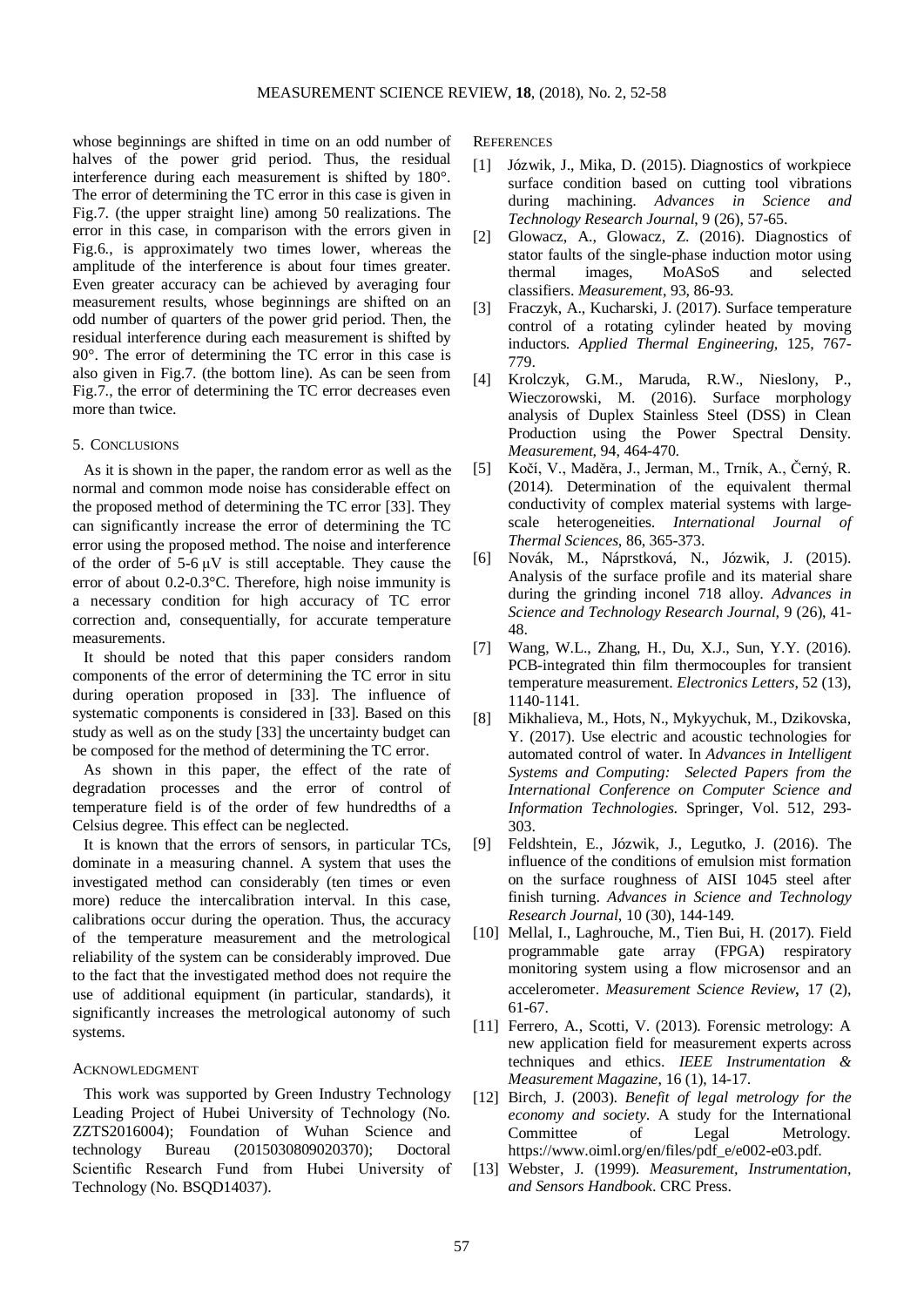whose beginnings are shifted in time on an odd number of halves of the power grid period. Thus, the residual interference during each measurement is shifted by 180°. The error of determining the TC error in this case is given in Fig.7. (the upper straight line) among 50 realizations. The error in this case, in comparison with the errors given in Fig.6., is approximately two times lower, whereas the amplitude of the interference is about four times greater. Even greater accuracy can be achieved by averaging four measurement results, whose beginnings are shifted on an odd number of quarters of the power grid period. Then, the residual interference during each measurement is shifted by 90°. The error of determining the TC error in this case is also given in Fig.7. (the bottom line). As can be seen from Fig.7., the error of determining the TC error decreases even more than twice.

#### 5. CONCLUSIONS

As it is shown in the paper, the random error as well as the normal and common mode noise has considerable effect on the proposed method of determining the TC error [33]. They can significantly increase the error of determining the TC error using the proposed method. The noise and interference of the order of  $5-6 \mu V$  is still acceptable. They cause the error of about 0.2-0.3°C. Therefore, high noise immunity is a necessary condition for high accuracy of TC error correction and, consequentially, for accurate temperature measurements.

It should be noted that this paper considers random components of the error of determining the TC error in situ during operation proposed in [33]. The influence of systematic components is considered in [33]. Based on this study as well as on the study [33] the uncertainty budget can be composed for the method of determining the TC error.

As shown in this paper, the effect of the rate of degradation processes and the error of control of temperature field is of the order of few hundredths of a Celsius degree. This effect can be neglected.

It is known that the errors of sensors, in particular TCs, dominate in a measuring channel. A system that uses the investigated method can considerably (ten times or even more) reduce the intercalibration interval. In this case, calibrations occur during the operation. Thus, the accuracy of the temperature measurement and the metrological reliability of the system can be considerably improved. Due to the fact that the investigated method does not require the use of additional equipment (in particular, standards), it significantly increases the metrological autonomy of such systems.

## ACKNOWLEDGMENT

This work was supported by Green Industry Technology Leading Project of Hubei University of Technology (No. ZZTS2016004); Foundation of Wuhan Science and technology Bureau (2015030809020370); Doctoral Scientific Research Fund from Hubei University of Technology (No. BSQD14037).

**REFERENCES** 

- [1] Józwik, J., Mika, D. (2015). Diagnostics of workpiece surface condition based on cutting tool vibrations during machining. *Advances in Science and Technology Research Journal*, 9 (26), 57-65.
- [2] Glowacz, A., Glowacz, Z. (2016). Diagnostics of stator faults of the single-phase induction motor using thermal images, MoASoS and selected classifiers. *Measurement*, 93, 86-93.
- [3] Fraczyk, A., Kucharski, J. (2017). Surface temperature control of a rotating cylinder heated by moving inductors. *Applied Thermal Engineering,* 125, 767- 779.
- [4] Krolczyk, G.M., Maruda, R.W., Nieslony, P., Wieczorowski, M. (2016). Surface morphology analysis of Duplex Stainless Steel (DSS) in Clean Production using the Power Spectral Density. *Measurement,* 94, 464-470.
- [5] Kočí, V., Maděra, J., Jerman, M., Trník, A., Černý, R. (2014). Determination of the equivalent thermal conductivity of complex material systems with largescale heterogeneities. *International Journal of Thermal Sciences*, 86, 365-373.
- [6] Novák, M., Náprstková, N., Józwik, J. (2015). Analysis of the surface profile and its material share during the grinding inconel 718 alloy. *Advances in Science and Technology Research Journal*, 9 (26), 41- 48.
- [7] Wang, W.L., Zhang, H., Du, X.J., Sun, Y.Y. (2016). PCB-integrated thin film thermocouples for transient temperature measurement. *Electronics Letters*, 52 (13), 1140-1141.
- [8] Mikhalieva, M., Hots, N., Mykyychuk, M., Dzikovska, Y. (2017). Use electric and acoustic technologies for automated control of water. In *Advances in Intelligent Systems and Computing: Selected Papers from the International Conference on Computer Science and Information Technologies*. Springer, Vol. 512, 293- 303.
- [9] Feldshtein, E., Józwik, J., Legutko, J. (2016). The influence of the conditions of emulsion mist formation on the surface roughness of AISI 1045 steel after finish turning. *Advances in Science and Technology Research Journal*, 10 (30), 144-149.
- [10] Mellal, I., Laghrouche, M., Tien Bui, H. (2017). Field programmable gate array (FPGA) respiratory monitoring system using a flow microsensor and an accelerometer. *Measurement Science Review*, 17 (2), 61-67.
- [11] Ferrero, A., Scotti, V. (2013). Forensic metrology: A new application field for measurement experts across techniques and ethics. *IEEE Instrumentation & Measurement Magazine*, 16 (1), 14-17.
- [12] Birch, J. (2003). *Benefit of legal metrology for the economy and society*. A study for the International Committee of Legal Metrology. https://www.oiml.org/en/files/pdf\_e/e002-e03.pdf.
- [13] Webster, J. (1999). *Measurement, Instrumentation, and Sensors Handbook*. CRC Press.